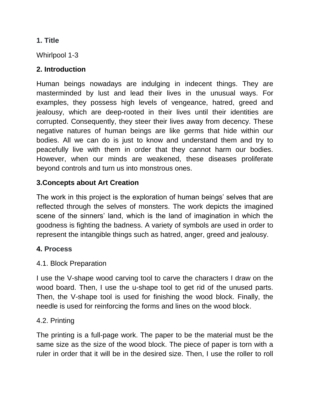#### **1. Title**

Whirlpool 1-3

# **2. Introduction**

Human beings nowadays are indulging in indecent things. They are masterminded by lust and lead their lives in the unusual ways. For examples, they possess high levels of vengeance, hatred, greed and jealousy, which are deep-rooted in their lives until their identities are corrupted. Consequently, they steer their lives away from decency. These negative natures of human beings are like germs that hide within our bodies. All we can do is just to know and understand them and try to peacefully live with them in order that they cannot harm our bodies. However, when our minds are weakened, these diseases proliferate beyond controls and turn us into monstrous ones.

# **3.Concepts about Art Creation**

The work in this project is the exploration of human beings' selves that are reflected through the selves of monsters. The work depicts the imagined scene of the sinners' land, which is the land of imagination in which the goodness is fighting the badness. A variety of symbols are used in order to represent the intangible things such as hatred, anger, greed and jealousy.

## **4. Process**

## 4.1. Block Preparation

I use the V-shape wood carving tool to carve the characters I draw on the wood board. Then, I use the u-shape tool to get rid of the unused parts. Then, the V-shape tool is used for finishing the wood block. Finally, the needle is used for reinforcing the forms and lines on the wood block.

## 4.2. Printing

The printing is a full-page work. The paper to be the material must be the same size as the size of the wood block. The piece of paper is torn with a ruler in order that it will be in the desired size. Then, I use the roller to roll